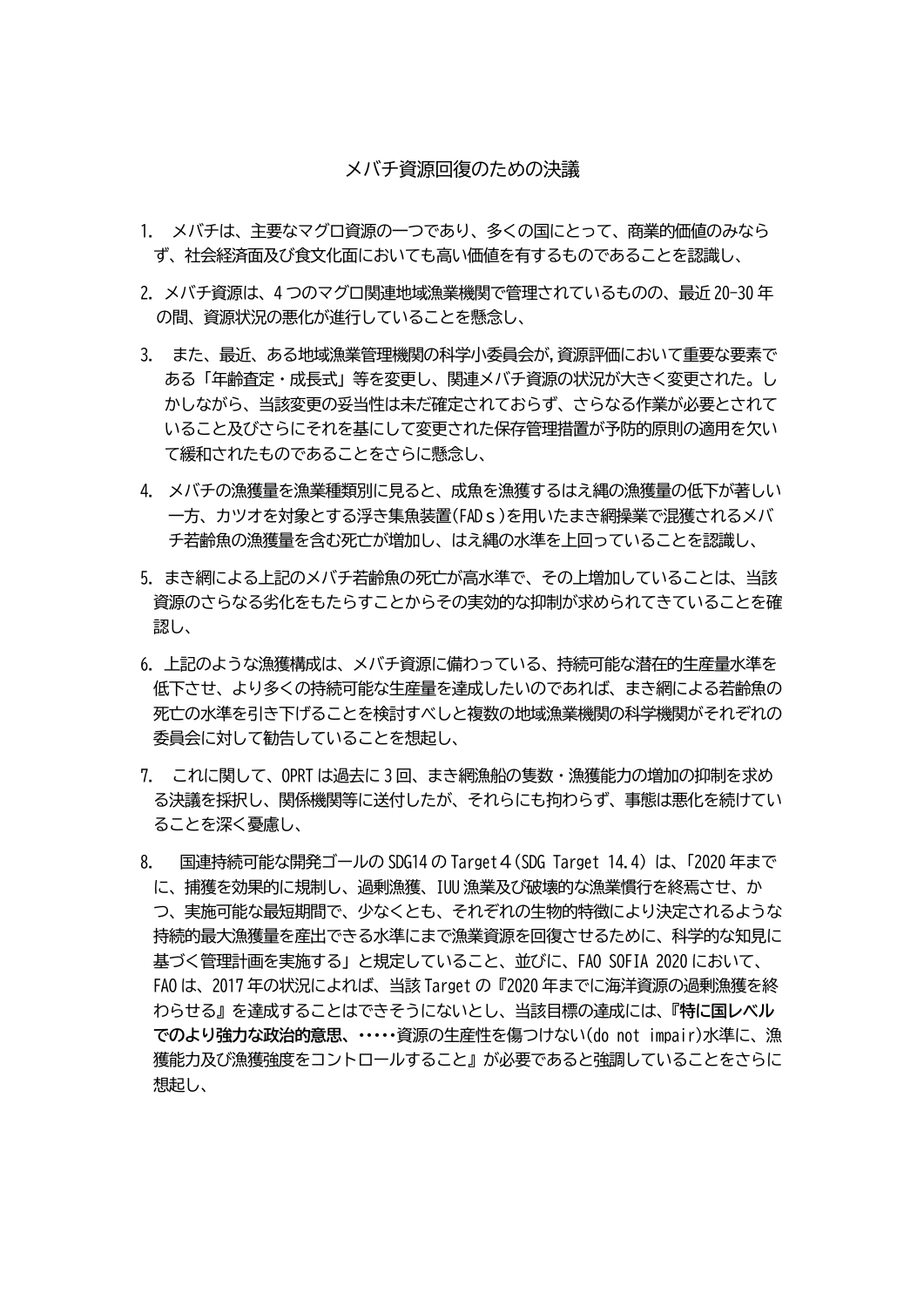## メバチ資源回復のための決議

- 1. メバチは、主要なマグロ資源の一つであり、多くの国にとって、商業的価値のみなら ず、社会経済面及び食文化面においても高い価値を有するものであることを認識し、
- 2.メバチ資源は、4 つのマグロ関連地域漁業機関で管理されているものの、最近 20-30 年 の間、資源状況の悪化が進行していることを懸念し、
- 3. また、最近、ある地域漁業管理機関の科学小委員会が,資源評価において重要な要素で ある「年齢査定・成長式」等を変更し、関連メバチ資源の状況が大きく変更された。し かしながら、当該変更の妥当性は未だ確定されておらず、さらなる作業が必要とされて いること及びさらにそれを基にして変更された保存管理措置が予防的原則の適用を欠い て緩和されたものであることをさらに懸念し、
- 4. メバチの漁獲量を漁業種類別に見ると、成魚を漁獲するはえ縄の漁獲量の低下が著しい 一方、カツオを対象とする浮き集魚装置(FADs)を用いたまき網操業で混獲されるメバ チ若齢魚の漁獲量を含む死亡が増加し、はえ縄の水準を上回っていることを認識し、
- 5.まき網による上記のメバチ若齢魚の死亡が高水準で、その上増加していることは、当該 資源のさらなる劣化をもたらすことからその実効的な抑制が求められてきていることを確 認し、
- 6.上記のような漁獲構成は、メバチ資源に備わっている、持続可能な潜在的生産量水準を 低下させ、より多くの持続可能な生産量を達成したいのであれば、まき網による若齢魚の 死亡の水準を引き下げることを検討すべしと複数の地域漁業機関の科学機関がそれぞれの 委員会に対して勧告していることを想起し、
- 7. これに関して、OPRT は過去に 3 回、まき網漁船の隻数・漁獲能力の増加の抑制を求め る決議を採択し、関係機関等に送付したが、それらにも拘わらず、事態は悪化を続けてい ることを深く憂慮し、
- 8. 国連持続可能な開発ゴールの SDG14 の Target 4 (SDG Target 14.4) は、「2020 年まで に、捕獲を効果的に規制し、過剰漁獲、IUU 漁業及び破壊的な漁業慣行を終焉させ、か つ、実施可能な最短期間で、少なくとも、それぞれの生物的特徴により決定されるような 持続的最大漁獲量を産出できる水準にまで漁業資源を回復させるために、科学的な知見に 基づく管理計画を実施する」と規定していること、並びに、FAO SOFIA 2020 において、 FAO は、2017 年の状況によれば、当該 Target の『2020 年までに海洋資源の過剰漁獲を終 わらせる』を達成することはできそうにないとし、当該目標の達成には、『**特に国レベル でのより強力な政治的意思、・・・・・**資源の生産性を傷つけない(do not impair)水準に、漁 獲能力及び漁獲強度をコントロールすること』が必要であると強調していることをさらに 想起し、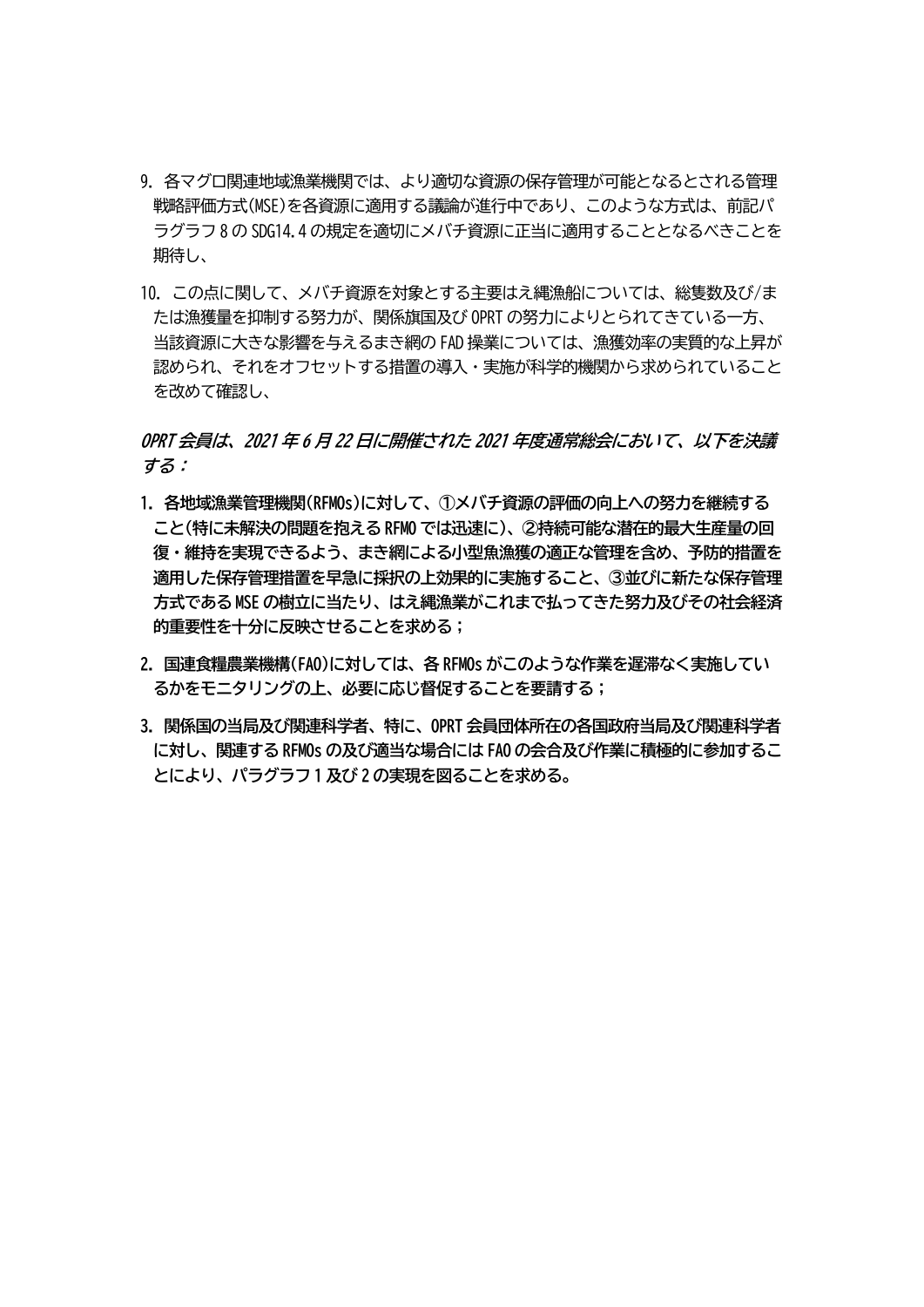- 9.各マグロ関連地域漁業機関では、より適切な資源の保存管理が可能となるとされる管理 戦略評価方式(MSE)を各資源に適用する議論が進行中であり、このような方式は、前記パ ラグラフ 8 の SDG14.4 の規定を適切にメバチ資源に正当に適用することとなるべきことを 期待し、
- 10.この点に関して、メバチ資源を対象とする主要はえ縄漁船については、総隻数及び/ま たは漁獲量を抑制する努力が、関係旗国及び OPRT の努力によりとられてきている一方、 当該資源に大きな影響を与えるまき網の FAD 操業については、漁獲効率の実質的な上昇が 認められ、それをオフセットする措置の導入・実施が科学的機関から求められていること を改めて確認し、

**OPRT 会員は、2021 年 6 月 22 日に開催された 2021 年度通常総会において、以下を決議 する:**

- **1.各地域漁業管理機関(RFMOs)に対して、①メバチ資源の評価の向上への努力を継続する こと(特に未解決の問題を抱える RFMO では迅速に)、②持続可能な潜在的最大生産量の回 復・維持を実現できるよう、まき網による小型魚漁獲の適正な管理を含め、予防的措置を 適用した保存管理措置を早急に採択の上効果的に実施すること、③並びに新たな保存管理 方式である MSE の樹立に当たり、はえ縄漁業がこれまで払ってきた努力及びその社会経済 的重要性を十分に反映させることを求める;**
- **2. 国連食糧農業機構(FAO)に対しては、各 RFMOs がこのような作業を遅滞なく実施してい るかをモニタリングの上、必要に応じ督促することを要請する;**
- **3. 関係国の当局及び関連科学者、特に、OPRT 会員団体所在の各国政府当局及び関連科学者 に対し、関連する RFMOs の及び適当な場合には FAO の会合及び作業に積極的に参加するこ とにより、パラグラフ 1 及び 2 の実現を図ることを求める。**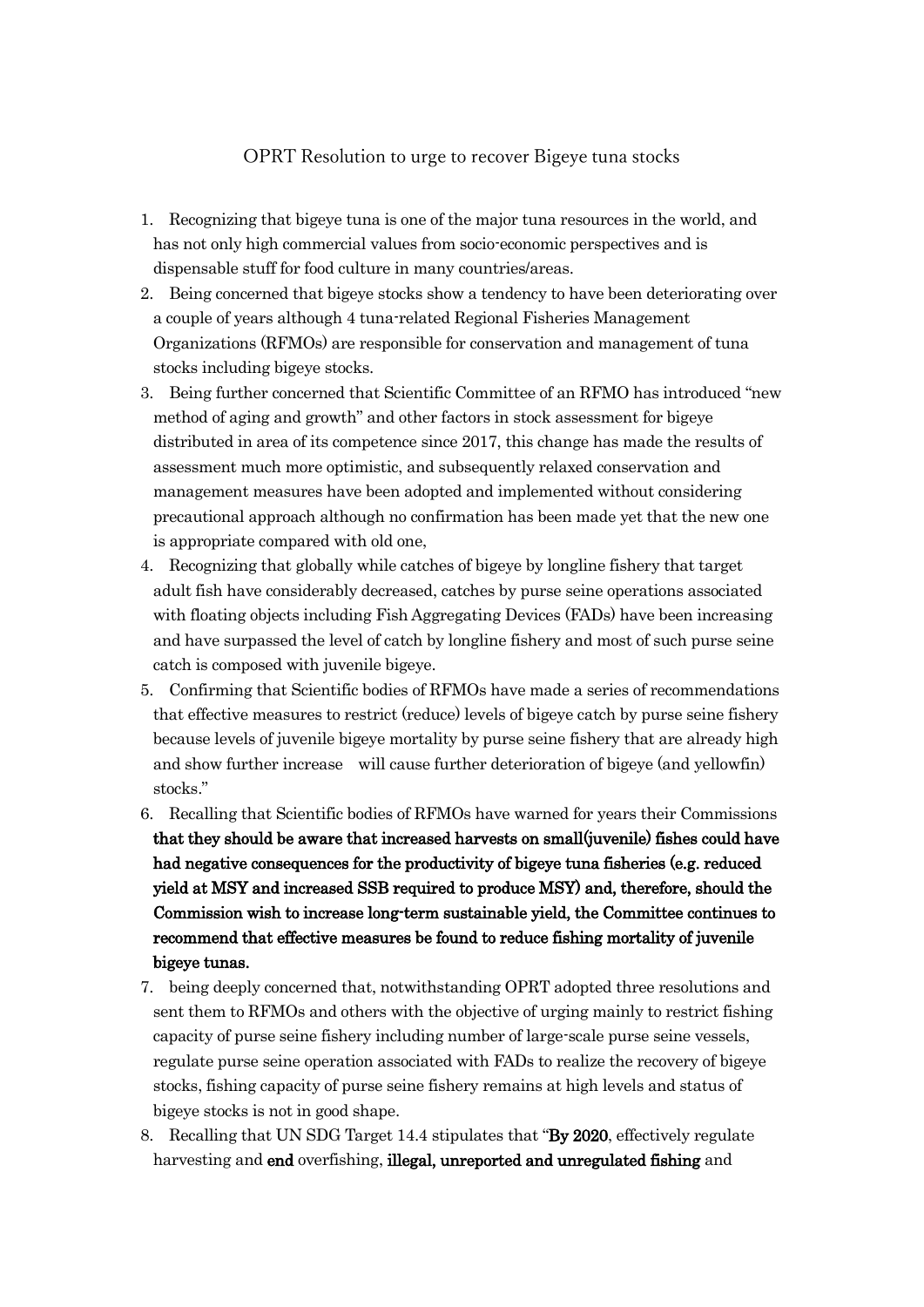## OPRT Resolution to urge to recover Bigeye tuna stocks

- 1. Recognizing that bigeye tuna is one of the major tuna resources in the world, and has not only high commercial values from socio-economic perspectives and is dispensable stuff for food culture in many countries/areas.
- 2. Being concerned that bigeye stocks show a tendency to have been deteriorating over a couple of years although 4 tuna-related Regional Fisheries Management Organizations (RFMOs) are responsible for conservation and management of tuna stocks including bigeye stocks.
- 3. Being further concerned that Scientific Committee of an RFMO has introduced "new method of aging and growth" and other factors in stock assessment for bigeye distributed in area of its competence since 2017, this change has made the results of assessment much more optimistic, and subsequently relaxed conservation and management measures have been adopted and implemented without considering precautional approach although no confirmation has been made yet that the new one is appropriate compared with old one,
- 4. Recognizing that globally while catches of bigeye by longline fishery that target adult fish have considerably decreased, catches by purse seine operations associated with floating objects including Fish Aggregating Devices (FADs) have been increasing and have surpassed the level of catch by longline fishery and most of such purse seine catch is composed with juvenile bigeye.
- 5. Confirming that Scientific bodies of RFMOs have made a series of recommendations that effective measures to restrict (reduce) levels of bigeye catch by purse seine fishery because levels of juvenile bigeye mortality by purse seine fishery that are already high and show further increase will cause further deterioration of bigeye (and yellowfin) stocks."
- 6. Recalling that Scientific bodies of RFMOs have warned for years their Commissions that they should be aware that increased harvests on small(juvenile) fishes could have had negative consequences for the productivity of bigeye tuna fisheries (e.g. reduced yield at MSY and increased SSB required to produce MSY) and, therefore, should the Commission wish to increase long-term sustainable yield, the Committee continues to recommend that effective measures be found to reduce fishing mortality of juvenile bigeye tunas.
- 7. being deeply concerned that, notwithstanding OPRT adopted three resolutions and sent them to RFMOs and others with the objective of urging mainly to restrict fishing capacity of purse seine fishery including number of large-scale purse seine vessels, regulate purse seine operation associated with FADs to realize the recovery of bigeye stocks, fishing capacity of purse seine fishery remains at high levels and status of bigeye stocks is not in good shape.
- 8. Recalling that UN SDG Target 14.4 stipulates that "By 2020, effectively regulate harvesting and end overfishing, illegal, unreported and unregulated fishing and